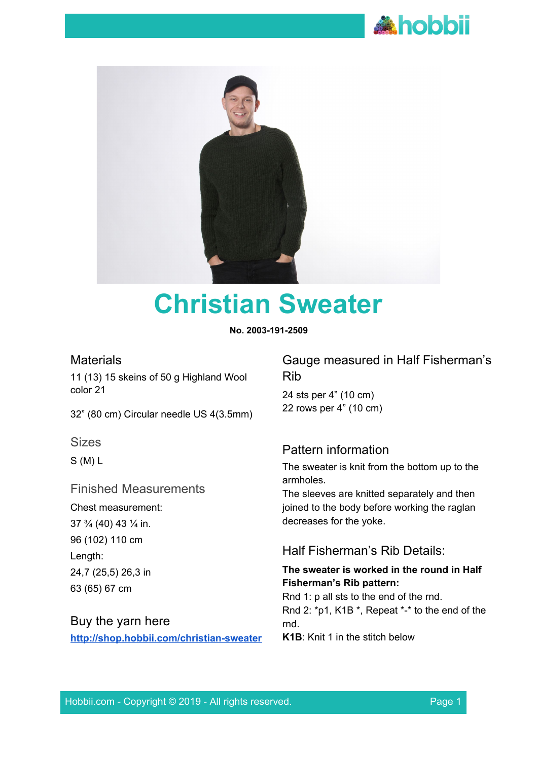



# **Christian Sweater**

**No. 2003-191-2509**

## **Materials**

11 (13) 15 skeins of 50 g Highland Wool color 21

32" (80 cm) Circular needle US 4(3.5mm)

Sizes

S (M) L

## Finished Measurements

Chest measurement: 37 ¾ (40) 43 ¼ in. 96 (102) 110 cm Length: 24,7 (25,5) 26,3 in 63 (65) 67 cm

# Buy the yarn here

**<http://shop.hobbii.com/christian-sweater>**

Gauge measured in Half Fisherman's Rib

24 sts per 4" (10 cm) 22 rows per 4" (10 cm)

## Pattern information

The sweater is knit from the bottom up to the armholes.

The sleeves are knitted separately and then joined to the body before working the raglan decreases for the yoke.

## Half Fisherman's Rib Details:

#### **The sweater is worked in the round in Half Fisherman's Rib pattern:**

Rnd 1: p all sts to the end of the rnd. Rnd 2: \*p1, K1B \*, Repeat \*-\* to the end of the rnd.

**K1B**: Knit 1 in the stitch below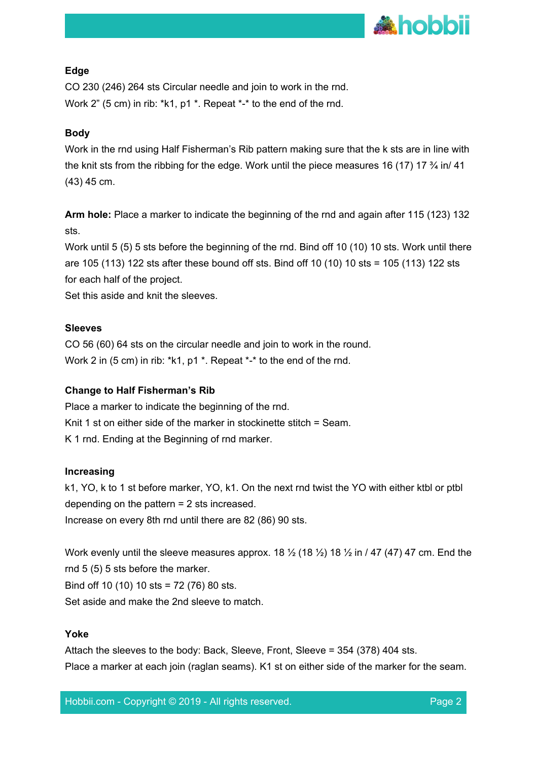

#### **Edge**

CO 230 (246) 264 sts Circular needle and join to work in the rnd. Work 2" (5 cm) in rib: \*k1, p1 \*. Repeat \*-\* to the end of the rnd.

#### **Body**

Work in the rnd using Half Fisherman's Rib pattern making sure that the k sts are in line with the knit sts from the ribbing for the edge. Work until the piece measures 16 (17) 17  $\frac{3}{4}$  in/ 41 (43) 45 cm.

**Arm hole:** Place a marker to indicate the beginning of the rnd and again after 115 (123) 132 sts.

Work until 5 (5) 5 sts before the beginning of the rnd. Bind off 10 (10) 10 sts. Work until there are 105 (113) 122 sts after these bound off sts. Bind off 10 (10) 10 sts = 105 (113) 122 sts for each half of the project.

Set this aside and knit the sleeves.

#### **Sleeves**

CO 56 (60) 64 sts on the circular needle and join to work in the round. Work 2 in (5 cm) in rib: \*k1, p1 \*. Repeat \*-\* to the end of the rnd.

#### **Change to Half Fisherman's Rib**

Place a marker to indicate the beginning of the rnd. Knit 1 st on either side of the marker in stockinette stitch = Seam. K 1 rnd. Ending at the Beginning of rnd marker.

#### **Increasing**

k1, YO, k to 1 st before marker, YO, k1. On the next rnd twist the YO with either ktbl or ptbl depending on the pattern = 2 sts increased. Increase on every 8th rnd until there are 82 (86) 90 sts.

Work evenly until the sleeve measures approx. 18  $\frac{1}{2}$  (18  $\frac{1}{2}$ ) 18  $\frac{1}{2}$  in / 47 (47) 47 cm. End the rnd 5 (5) 5 sts before the marker. Bind off 10 (10) 10 sts = 72 (76) 80 sts. Set aside and make the 2nd sleeve to match.

#### **Yoke**

Attach the sleeves to the body: Back, Sleeve, Front, Sleeve = 354 (378) 404 sts. Place a marker at each join (raglan seams). K1 st on either side of the marker for the seam.

Hobbii.com - Copyright © 2019 - All rights reserved. Page 2